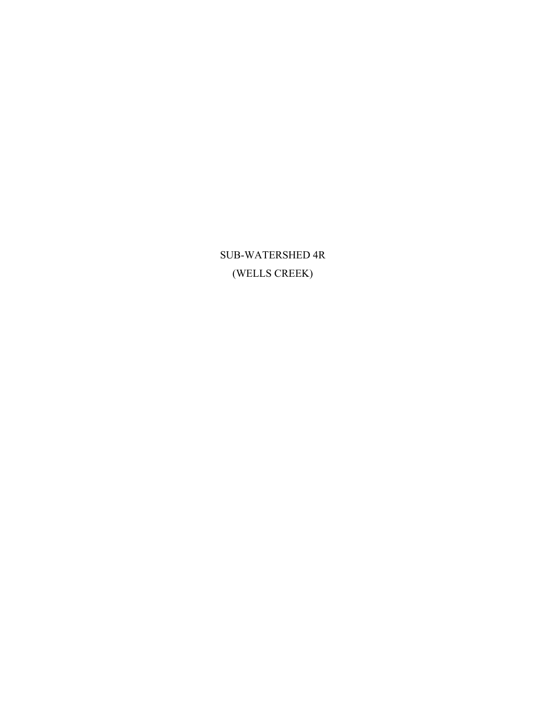SUB-WATERSHED 4R (WELLS CREEK)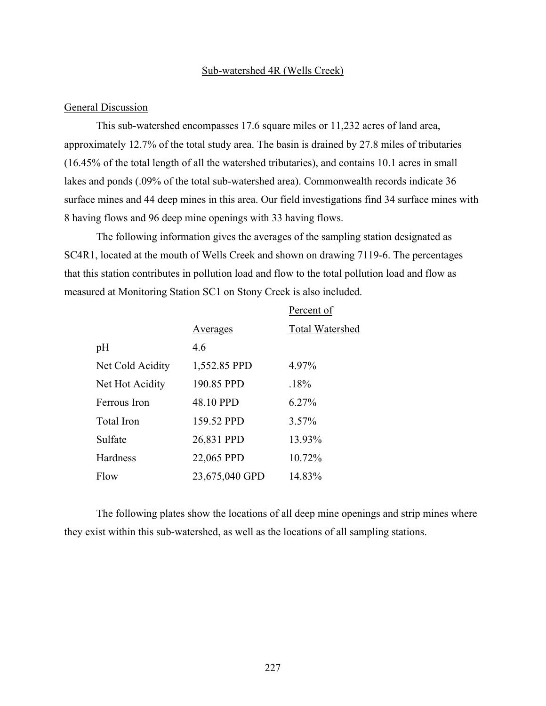#### Sub-watershed 4R (Wells Creek)

### General Discussion

This sub-watershed encompasses 17.6 square miles or 11,232 acres of land area, approximately 12.7% of the total study area. The basin is drained by 27.8 miles of tributaries (16.45% of the total length of all the watershed tributaries), and contains 10.1 acres in small lakes and ponds (.09% of the total sub-watershed area). Commonwealth records indicate 36 surface mines and 44 deep mines in this area. Our field investigations find 34 surface mines with 8 having flows and 96 deep mine openings with 33 having flows.

The following information gives the averages of the sampling station designated as SC4R1, located at the mouth of Wells Creek and shown on drawing 7119-6. The percentages that this station contributes in pollution load and flow to the total pollution load and flow as measured at Monitoring Station SC1 on Stony Creek is also included.

|                   |                | Percent of             |
|-------------------|----------------|------------------------|
|                   | Averages       | <b>Total Watershed</b> |
| pH                | 4.6            |                        |
| Net Cold Acidity  | 1,552.85 PPD   | 4.97%                  |
| Net Hot Acidity   | 190.85 PPD     | .18%                   |
| Ferrous Iron      | 48.10 PPD      | 6.27%                  |
| <b>Total Iron</b> | 159.52 PPD     | 3.57%                  |
| Sulfate           | 26,831 PPD     | 13.93%                 |
| Hardness          | 22,065 PPD     | 10.72%                 |
| Flow              | 23,675,040 GPD | 14.83%                 |

The following plates show the locations of all deep mine openings and strip mines where they exist within this sub-watershed, as well as the locations of all sampling stations.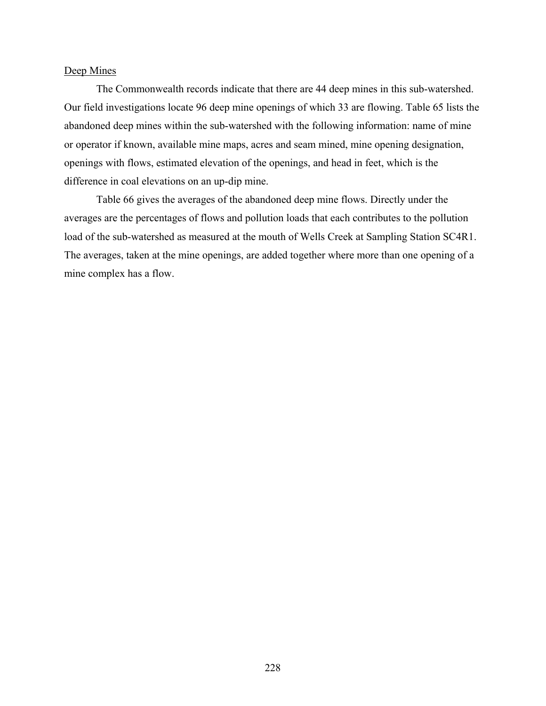### Deep Mines

The Commonwealth records indicate that there are 44 deep mines in this sub-watershed. Our field investigations locate 96 deep mine openings of which 33 are flowing. Table 65 lists the abandoned deep mines within the sub-watershed with the following information: name of mine or operator if known, available mine maps, acres and seam mined, mine opening designation, openings with flows, estimated elevation of the openings, and head in feet, which is the difference in coal elevations on an up-dip mine.

Table 66 gives the averages of the abandoned deep mine flows. Directly under the averages are the percentages of flows and pollution loads that each contributes to the pollution load of the sub-watershed as measured at the mouth of Wells Creek at Sampling Station SC4R1. The averages, taken at the mine openings, are added together where more than one opening of a mine complex has a flow.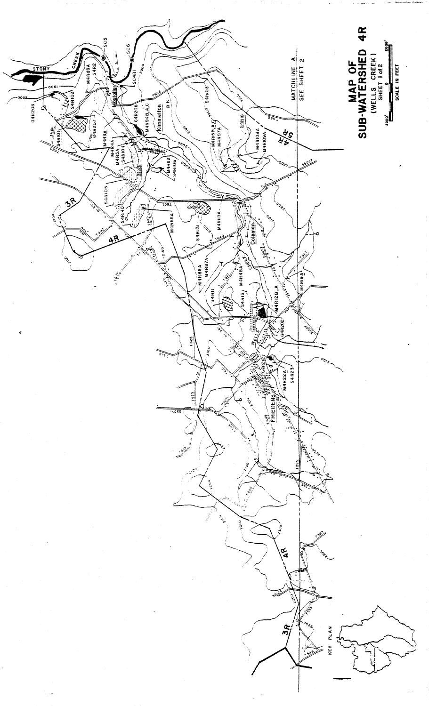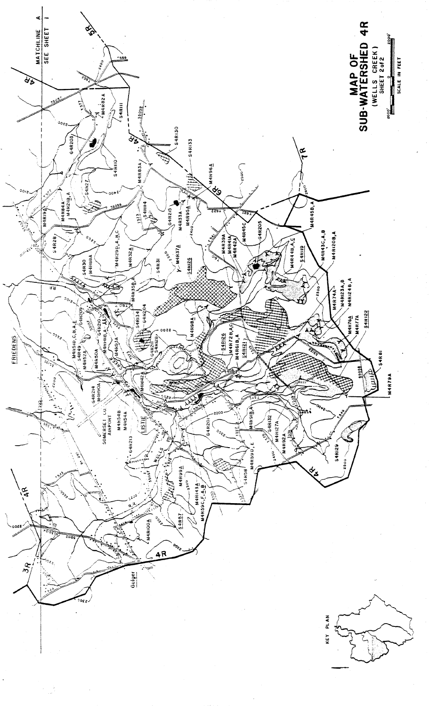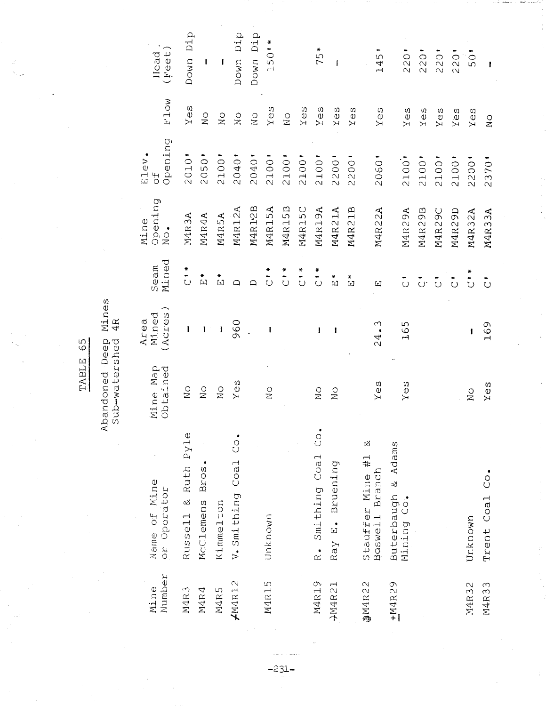| Number<br>Mine | Name of Mine<br>or Operator                    | Mine Map<br>Obtained      | (Acres<br>Mined<br>Area | Mined<br>Seam                                  | Opening<br>Mine<br>$\bullet$<br>$\frac{0}{2}$ | Opening<br>Elev.<br>$\frac{4}{5}$ | F1ow             | (Feet<br>Head |
|----------------|------------------------------------------------|---------------------------|-------------------------|------------------------------------------------|-----------------------------------------------|-----------------------------------|------------------|---------------|
| M4R3           | Russell & Ruth Pyle                            | $\rm _N$ O                | I                       | $\frac{1}{2}$                                  | M4R3A                                         | 2010'                             | Yes              | Down Dip      |
| M4R4           | Bros.<br>McClemens                             | $\rm _N^O$                | ı                       | $\stackrel{*}{\Xi}$                            | M4R4A                                         | 2050'                             | $\rm _N^O$       | l             |
| M4R5           | Kimmelton                                      | $\rm _N$                  | $\mathbf{I}$            | $\frac{1}{2}$                                  | M4R5A                                         | 2100'                             | $\sum_{i=1}^{n}$ | ſ             |
| $\mu$ M4R12    | V. Smithing Coal Co.                           | Yes                       | 960                     | ♤                                              | M4R12A                                        | 2040'                             | $\rm _N$         | Dip<br>Down   |
|                |                                                |                           |                         | ≏                                              | M4R12B                                        | 2040'                             | $\overline{N}$   | Down Dip      |
| M4R15          | Unknown                                        | $\sum_{i=1}^{n}$          | I                       | ₩<br>$\overline{\overline{C}}$                 | M4R15A                                        | 2100                              | Yes              | 150'*         |
|                |                                                |                           |                         | $\begin{array}{c} * \\ * \\ \circ \end{array}$ | M4R15B                                        | 2100                              | $\rm _N^O$       |               |
|                |                                                |                           |                         | $\frac{1}{2}$                                  | M4R15C                                        | 2100                              | Yeg              |               |
| M4R19          | $\dot{\circ}$<br>Smithing Coal<br>$\mathbf{r}$ | $\sum_{i=1}^{n}$          | ł                       | $\frac{1}{2}$                                  | M4R19A                                        | 2100                              | Yes              | 75*           |
| →M4R21         | Ray E. Bruening                                | $\frac{0}{2}$             | 1                       | ÷<br>ស                                         | M4R21A                                        | 2200'                             | Yes              | $\mathbf{f}$  |
|                |                                                |                           |                         | ្ពឺ                                            | M4R21B                                        | 2200'                             | Yes              |               |
| @M4R22         | ళ<br>Stauffer Mine #1<br>Branch<br>Boswell     | Yes                       | 24.3                    | $\Xi$                                          | M4R22A                                        | 2060'                             | YeeS             | 145           |
| +M4R29         | Buterbaugh & Adams<br>Mining Co.               | Yes                       | 165                     | $\overline{\circ}$                             | M4R29A                                        | 2100'                             | Yes              | 220'          |
|                |                                                |                           |                         | -<br>ت                                         | M4R29B                                        | 2100                              | Yes              | 220           |
|                |                                                |                           |                         | $\tilde{\circ}$                                | M4R29C                                        | 2100'                             | Yes              | 220           |
|                |                                                |                           |                         | $\overline{\circ}$                             | M4R29D                                        | 2100                              | $Y\hat{e}$ s     | 220           |
| M4R32          | Unknown                                        | $\overline{\mathsf{N}}$ o | ł                       | $\frac{1}{2}$                                  | M4R32A                                        | 2200'                             | Yes              | 50            |
| M4R33          | $\overline{C}$ o<br>Trent Coal                 | Yes                       | 169                     | $\ddot{\circ}$                                 | M4R33A                                        | 2370                              | $\sum_{i=1}^{n}$ | 1             |

TABLE 65

Abandoned Deep Mines<br>Sub-watershed 4R

 $-231-$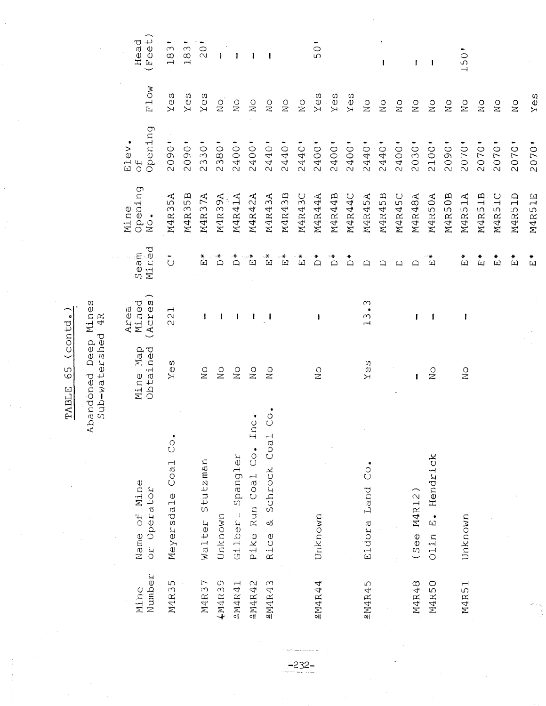| Number<br>Mine | Name of Mine<br>or Operator                       | Mine Map<br>Obtained | (Acres<br>Mined<br>Area | Mined<br>Seam       | Opening<br>Mine<br>٠<br>$\overline{N}$ | Opening<br>Elev<br>ЪС | F1ow                                            | Feeet<br>Head      |
|----------------|---------------------------------------------------|----------------------|-------------------------|---------------------|----------------------------------------|-----------------------|-------------------------------------------------|--------------------|
| M4R35          | Coal Co.<br>Meyersdale                            | $Y \ominus S$        | 221                     | $\ddot{\circ}$      | M4R35A                                 | 2090                  | $Y \in S$                                       | S<br>$\frac{1}{1}$ |
|                |                                                   |                      |                         |                     | M4R35B                                 | 2090                  | Yes                                             | 183                |
| M4R37          | Walter Stutzman                                   | $_{\rm NO}^{\circ}$  | ł                       | ∗<br>囟              | M4R37A                                 | 2330                  | $Y \ominus S$                                   | $\overline{0}$     |
| 4M4R39         | Unknown                                           | $\sum_{i=1}^{n}$     | 1                       | ้≛                  | M4R39A                                 | 2380                  | $\rm _N^O$                                      |                    |
| 2M4R41         | Spangler<br>Gilbert                               | $\rm _N^O$           | ł                       | ∗<br>$\Box$         | M4R41A                                 | 2400'                 | $\rm _N^O$                                      |                    |
| 2M4R42         | Inc.<br>Pike Run Coal Co.                         | $\sum_{i=1}^{n}$     | 1                       | 山                   | M4R42A                                 | 2400'                 | $\sum_{i=1}^{n}$                                | I                  |
| 2M4R43         | $\ddot{\circ}$<br>Rice & Schrock Coal             | $\frac{1}{2}$        | J                       | ω                   | M4R43A                                 | 2440'                 | $\frac{0}{N}$                                   | 1                  |
|                |                                                   |                      |                         | 卬                   | M4R43B                                 | 2440'                 | $\frac{0}{N}$                                   |                    |
|                |                                                   |                      |                         | $\Box$              | M4R43C                                 | 2440                  | $\frac{0}{2}$                                   |                    |
| \$M4R44        | Unknown                                           | $\frac{0}{2}$        | ÷                       | $\Box$              | M4R44A                                 | 2400"                 | $Y \ominus S$                                   | C<br>ഗ             |
|                |                                                   |                      |                         | $\Box$              | M4R44B                                 | 2400'                 | Yes                                             |                    |
|                |                                                   |                      |                         | $\sum_{i=1}^{n}$    | M4R44C                                 | 2400'                 | Yes                                             |                    |
| 2M4R45         | $\overline{C}$ o $\overline{O}$<br>Land<br>Eldora | Yes                  | ო<br>$\frac{3}{1}$      | ≏                   | M4R45A                                 | 2440'                 | $\rm _N^O$                                      |                    |
|                |                                                   |                      |                         | ≏                   | M4R45B                                 | 2440                  | $\stackrel{\textstyle\circ}{\phantom{}_{\sim}}$ |                    |
|                |                                                   |                      |                         | ≏                   | M4R45C                                 | 2400'                 | $\rm _N$                                        |                    |
| M4R48          | M4R12)<br>(See                                    |                      | T                       | ≏                   | M4R48A                                 | 2030                  | $\overline{N}$                                  | I                  |
| M4R50          | E. Hendrick<br>Olin                               | $\sum_{i=1}^{n}$     | I                       | ิ*<br>เ⊐            | M4R50A                                 | 2100                  | $\sum_{i=1}^{n}$                                | 1                  |
|                |                                                   |                      |                         |                     | M4R50B                                 | 2090                  | $\rm _N$                                        |                    |
| M4R51          | Unknown                                           | $\sum_{i=1}^{n}$     | ł                       | $\stackrel{*}{\Xi}$ | M4R51A                                 | 2070                  | $\frac{0}{2}$                                   | 150                |
|                |                                                   |                      |                         | $\tilde{E}$         | M4R51B                                 | 2070                  | $\mathop{\mathrm{SO}}$                          |                    |
|                |                                                   |                      |                         | $\frac{1}{2}$       | M4R51C                                 | 2070                  | $\sum_{i=1}^{n}$                                |                    |
|                |                                                   |                      |                         | ដែ                  | M4R51D                                 | 2070                  | $\overline{N}$                                  |                    |
|                |                                                   |                      |                         | $\tilde{E}$         | M4R51E                                 | 2070                  | $Y \in S$                                       |                    |

Abandoned Deep Mines<br>Sub-watershed 4R

 $-232-$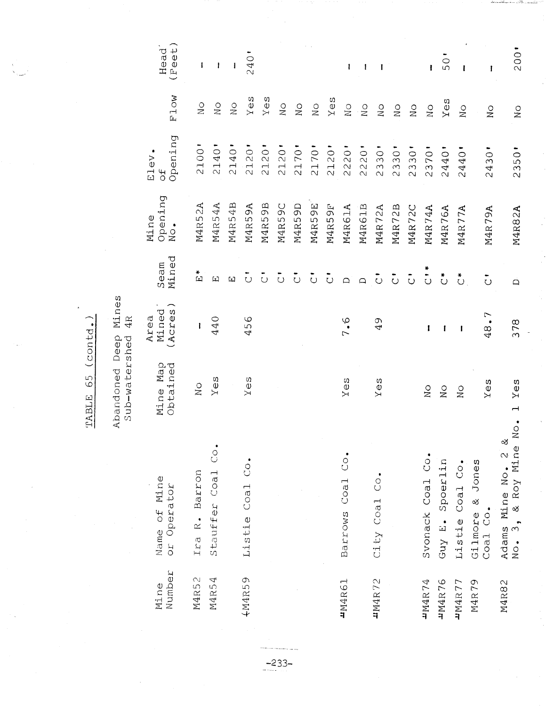|                |                                                                 | Sub-watershed 4R                |                          |                                        |                        |                       |                                          |                            |
|----------------|-----------------------------------------------------------------|---------------------------------|--------------------------|----------------------------------------|------------------------|-----------------------|------------------------------------------|----------------------------|
| Number<br>Mine | Name of Mine<br>or Operator                                     | Mine Map<br>Obtained            | Mined<br>(Acres)<br>Area | Seam<br>Mined                          | Opening<br>No.<br>Mine | Opening<br>Elev<br>of | Flow                                     | Feet)<br>Head <sup>"</sup> |
| M4R52          | Ira R. Barron                                                   | $\overset{\circ}{\simeq}$       | ı                        | $\tilde{E}^*$                          | M4R52A                 | 2100                  | $\sum_{i=1}^{n}$                         | I                          |
| M4R54          | $\ddot{\circ}$<br>Stauffer Coal                                 | YeeS                            | 440                      | $\begin{array}{c} \square \end{array}$ | M4R54A                 | 2140                  | $\overline{N}$                           | 1                          |
|                |                                                                 |                                 |                          | $\mathbb{L}$                           | M4R54B                 | 2140                  | $\frac{0}{2}$                            | T                          |
| 4M4R59         | Listie Coal Co.                                                 | $Y \oplus S$                    | 456                      | $\overline{\circ}$                     | M4R59A                 | 2120                  | Yes                                      | 240                        |
|                |                                                                 |                                 |                          | $\overline{\circ}$                     | M4R59B                 | 2120                  | $Y \ominus S$                            |                            |
|                |                                                                 |                                 |                          | $\overline{\circ}$                     | M4R59C                 | 2120'                 | $\mathop \cup \limits_{\text{N} }$       |                            |
|                |                                                                 |                                 |                          | $\ddot{\circ}$                         | M4R59D                 | 2170                  | $\rm _N$                                 |                            |
|                |                                                                 |                                 |                          | $\tilde{\circ}$                        | M4R59E                 | 2170'                 | $\rm _N$                                 |                            |
|                |                                                                 |                                 |                          | $\overline{\circ}$                     | M4R59F                 | 2120                  | $Y \oplus S$                             |                            |
| <b>4M4R61</b>  | $\overline{C}$<br>Coa1<br>Barrows                               | $Y \oplus S$                    | 7.6                      | $\Box$                                 | M4R61A                 | 2220                  | $_{\rm N_O}^{\rm O}$                     | ł                          |
|                |                                                                 |                                 |                          | $\Box$                                 | M4R61B                 | 220<br>$\sim$         | $\rm _N^O$                               | ı                          |
| <b>4M4R72</b>  | $\overline{C}$<br>City Coal                                     | Yes                             | 49                       | $\tilde{\circ}$                        | M4R72A                 | 2330"                 | $\mathop{\cong}\limits^{\mathcal{O}}$    | -l                         |
|                |                                                                 |                                 |                          | $\mathbf{\ddot{\circ}}$                | M4R72B                 | 2330                  | $\overset{\text{\normalsize O}}{\simeq}$ |                            |
|                |                                                                 |                                 |                          | $\ddot{\circ}$                         | M4R72C                 | 2330'                 | $\rm _N$                                 |                            |
| <b>TN4R74</b>  | $\ddot{c}$<br>Svonack Coal                                      | $\rm _N^O$                      | I                        | $\frac{1}{\sqrt{2}}$                   | M4R74A                 | 2370'                 | $\rm _N$ O                               | ł                          |
| <b>4M4R76</b>  | Guy E. Spoerlin                                                 | $\rm _N$                        | ſ                        | $\overset{*}{\circ}$                   | M4R76A                 | 2440                  | Yes                                      | 50                         |
| 4M4R77         | Listie Coal Co.                                                 | $_{\rm N_O}$                    | 1                        | $\stackrel{*}{\circ}$                  | M4R77A                 | 2440                  | $\overline{N}$                           | ł                          |
| M4R79          | & Jones<br>Gilmore &<br>Coal Co.                                | Yes                             | 48.                      | $\circ$                                | M4R79A                 | 30<br>$\overline{24}$ | $\sum_{i=1}^{n}$                         | ł                          |
| M4R82          | $\overline{N}$<br>త<br>& Roy Mine<br>Adams Mine No. 2<br>No. 3, | Yes<br>$\overline{\phantom{0}}$ | 378                      | $\Box$                                 | M4R82A                 | 2350                  | $\frac{0}{2}$                            | 200'                       |

Abandoned Deep Mines

 $-233-$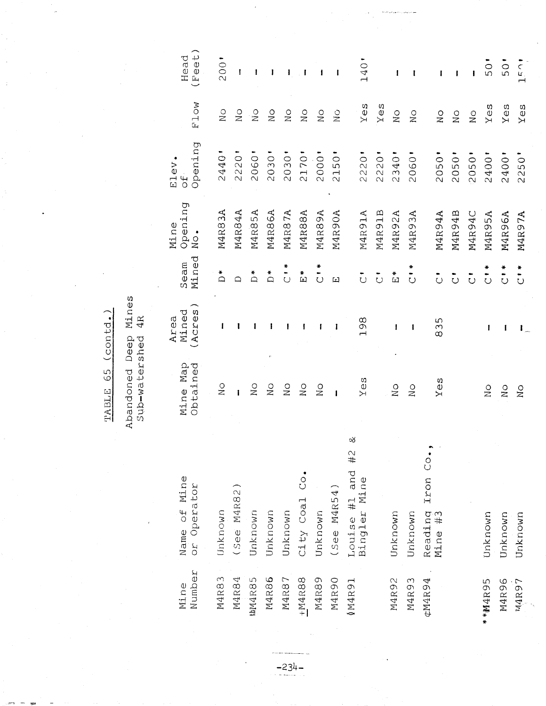| Number<br>Mine | Name of Mine<br>or Operator           | Mine Map<br>Obtained | (Acres<br>Mined<br>Area | Seam<br>Mined           | Opening<br>Mine<br>٠<br>$\frac{0}{2}$ | Opening<br>Elev<br>$\overline{d}$ | F1ow                                       | ⌒<br>Head<br>Feet) |
|----------------|---------------------------------------|----------------------|-------------------------|-------------------------|---------------------------------------|-----------------------------------|--------------------------------------------|--------------------|
| M4R83          | Unknown                               | $\sum_{i=1}^{n}$     | 1                       | $\stackrel{*}{\Box}$    | M4R83A                                | 2440'                             | $\sum_{i=1}^{n}$                           | 200'               |
| M4R84          | $See$ M4R82                           | $\mathbf{I}$         |                         | $\Box$                  | M4R84A                                | 2220                              | $\sum_{i=1}^{n}$                           | I                  |
| <b>thM4R85</b> | Unknown                               | $\sum_{i=1}^{n}$     |                         | $\sum_{i=1}^{n}$        | M4R85A                                | 2060                              | $\stackrel{\circ}{\approx}$                | ł                  |
| M4R86          | Unknown                               | $\rm _N$             |                         | $\sum_{i=1}^{n}$        | M4R86A                                | 2030                              | $\frac{0}{2}$                              | I                  |
| M4R87          | Unknown                               | $\sum_{i=1}^{n}$     |                         | $\ddot{\cdot}$          | M4R87A                                | 2030                              | $\sum_{i=1}^{n}$                           | ı                  |
| $+M4R88$       | $\overline{C}$<br>City Coal           | $\sum_{i=1}^{n}$     |                         | $\frac{1}{2}$           | M4R88A                                | 2170'                             | $\sum_{i=1}^{n}$                           | $\mathbf{I}$       |
| M4R89          | Unknown                               | $\frac{0}{1}$        |                         | $\ddot{\circ}$          | M4R89A                                | 2000'                             | $\frac{0}{2}$                              |                    |
| M4R90          | (See M4R54)                           | $\mathbf{I}$         | I                       | 囗                       | M4R90A                                | 2150                              | $\sum_{i=1}^{n}$                           |                    |
| 16911          | చ<br>Louise #1 and #2<br>Bingler Mine | ΘS<br>Σ              | 198                     | $\bar{\circ}$           | M4R91A                                | 2220                              | Yes                                        | 140                |
|                |                                       |                      |                         | $\overline{\circ}$      | M4R91B                                | 2220                              | Yes                                        |                    |
| M4R92          | Unknown                               | $\sum_{i=1}^{n}$     | ł                       | $\frac{1}{2}$           | M4R92A                                | 2340                              | $\sum_{i=1}^{n}$                           | ł                  |
| M4R93          | Unknown                               | $\sum_{i=1}^{n}$     | ı                       | $\ddot{\circ}$          | M4R93A                                | 2060                              | $\sum_{i=1}^{n}$                           | ı                  |
| ¢M4R94         | Iron Co.<br>Reading<br>Mine #3        | Yes                  | 835                     | $\ddot{\circ}$          | M4R94A                                | 2050'                             | $\overset{\text{\normalsize{O}}}{\approx}$ | 1                  |
|                |                                       |                      |                         | $\overline{\circ}$      | M4R94B                                | 2050                              | $\rm _N^O$                                 |                    |
|                |                                       |                      |                         | $\overline{\text{C}}$   | M4R94C                                | 2050                              | $\rm _{N\,O}$                              | ı                  |
| *M4R95         | Unknown                               | $\sum_{i=1}^{n}$     | 1                       | *<br>$\overline{\circ}$ | M4R95A                                | 2400                              | $Y \ominus S$                              | 50                 |
| M4R96          | Unknown                               | $\sum_{i=1}^{n}$     | 1                       | $\ddot{\circ}$          | M4R96A                                | 1400<br>$\overline{\mathcal{N}}$  | Yes                                        | 50                 |
| N4R97          | Unknown                               | $\sum_{i=1}^{n}$     | $\mathbf{I}_{-}$        | $\frac{1}{2}$           | M4R97A                                | 2250                              | Yes                                        | 150                |

J,

 $\frac{1}{2}$ 

Abandoned Deep Mines<br>Sub-watershed 4R

 $-234-$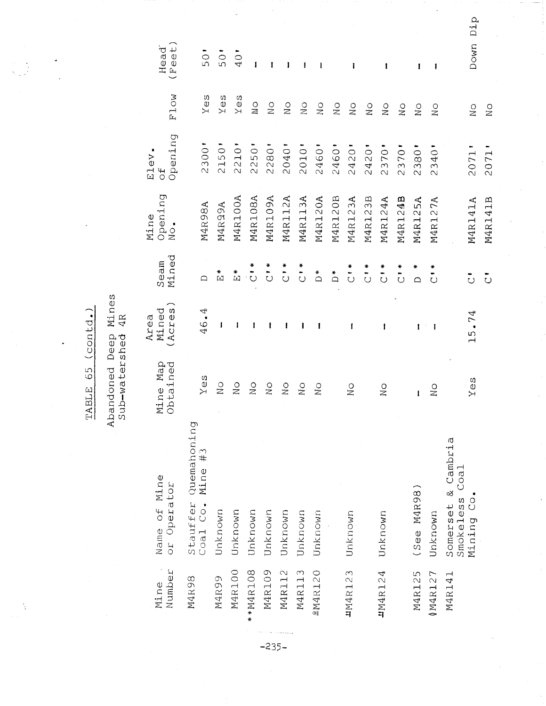| Dip<br>Down     | $\rm _N^O$<br>$\overline{\mathbb{N}}$                                                                    | 2071'<br>2071                            | M4R141B<br>M4R141A                         | $\overline{\circ}$<br>$\overline{\overline{C}}$ | 15.74                    | es<br>⋝                                         | $\overline{C}$<br>Mining                   |                |
|-----------------|----------------------------------------------------------------------------------------------------------|------------------------------------------|--------------------------------------------|-------------------------------------------------|--------------------------|-------------------------------------------------|--------------------------------------------|----------------|
|                 |                                                                                                          |                                          |                                            |                                                 |                          |                                                 | & Cambria<br>Coa1<br>Smokeless<br>Somerset | M4R141         |
| ł               | $\overline{N}$                                                                                           | 2340                                     | M4R127A                                    | ₩<br>$\ddot{\circ}$                             | $\pm$ 1                  | $\frac{0}{2}$                                   | Unknown                                    | 0M4R127        |
| 1               | $\sum_{i=1}^{n}$                                                                                         | 2380                                     | M4R125A                                    | ×<br>$\triangle$                                | 1                        | ı                                               | (See M4R98)                                | M4R125         |
|                 | $\sum_{i=1}^{n}$                                                                                         | 2370                                     | M4R124B                                    | $\frac{1}{2}$                                   |                          |                                                 |                                            |                |
| 1               | $\sum_{i=1}^{n}$                                                                                         | 2370                                     | M4R124A                                    | $\frac{1}{2}$                                   | ı                        | $\frac{0}{2}$                                   | Unknown                                    | <b>1M4R124</b> |
|                 | $\frac{0}{2}$                                                                                            | 2420                                     | M4R123B                                    | $\frac{1}{\sqrt{2}}$                            |                          |                                                 |                                            |                |
| ı               | $\overset{\circ}{\simeq}$                                                                                | 2420                                     | M4R123A                                    | $\frac{1}{2}$                                   | 1                        | $\sum_{i=1}^{n}$                                | Unknown                                    | <b>4M4R123</b> |
|                 | $\mathop{\odot}\limits_{\mathbb{Z}}$                                                                     | 2460                                     | M4R120B                                    | $\stackrel{*}{\Box}$                            |                          |                                                 |                                            |                |
| ł               | $\frac{0}{N}$                                                                                            | 2460                                     | M4R120A                                    | $\sum_{i=1}^{n}$                                |                          | $\frac{1}{2}$                                   | Unknown                                    | 2M4R120        |
| ł               | $\frac{1}{2}$                                                                                            | 2010                                     | M4R113A                                    | $\sum_{i=1}^{n}$                                | ł                        | $\frac{0}{N}$                                   | Unknown                                    | M4R113         |
| ı               | $\frac{0}{2}$                                                                                            | 2040'                                    | M4R112A                                    | $\ddot{c}$                                      | ł                        | $\rm _N^O$                                      | Unknown                                    | M4R112         |
| 1               | $\sum_{i=1}^{n}$                                                                                         | 2280                                     | M4R109A                                    | $\frac{1}{2}$                                   | I                        | $\mathop \Omega_\infty$                         | Unknown                                    | M4R109         |
| $\mathbf{I}$    | $\stackrel{\textstyle\circ}{\phantom{}_{\mathbf{2}}}\stackrel{\textstyle\circ}{\phantom{}_{\mathbf{2}}}$ | 250<br>$\sim$                            | M4R108A                                    | $\frac{1}{2}$                                   | ı                        | $\sum_{i=1}^{n}$                                | Unknown                                    | *M4R108        |
| 40              | Yes                                                                                                      | 2210'                                    | M4R100A                                    | $\stackrel{*}{\Box}$                            | I                        | $\stackrel{\textstyle\circ}{\phantom{}_{\sim}}$ | Unknown                                    | M4R100         |
| $\overline{50}$ | Yes                                                                                                      | 2150                                     | M4R99A                                     | *<br>[⊥]                                        | ı                        | $\sum_{i=1}^{n}$                                | Unknown                                    | M4R99          |
| $\overline{50}$ | YeS                                                                                                      | 2300'                                    | M4R98A                                     | ≏                                               | 46.4                     | Yes                                             | Quemahoning<br>Mine #3<br>Stauffer         | M4R98          |
| Head<br>Feet    | F <sub>1</sub> ow                                                                                        | Opening<br>Elev.<br>$\frac{4}{\sqrt{2}}$ | Opening<br>Mine<br>$\bullet$<br>$\rm _N^O$ | Mined<br>Seam                                   | Mined<br>(Acres)<br>Area | Mine Map<br>Obtained                            | Name of Mine<br>or Operator                | Number<br>Mine |
|                 |                                                                                                          |                                          |                                            |                                                 |                          |                                                 |                                            |                |

Ň,

Abandoned Deep Mines<br>Sub-watershed 4R

 $-235-$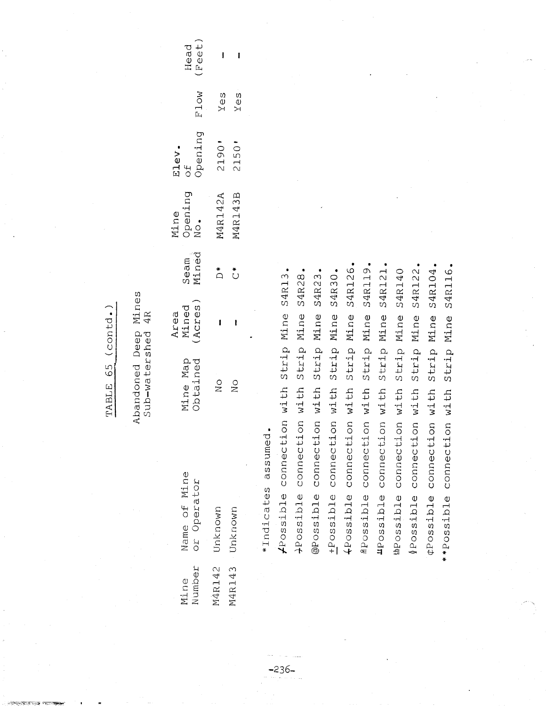Abandoned Deep Mines<br>Sub-watershed 4R

| ı             | Yes               | :0612                              | M4R143B                                    | $\stackrel{*}{\cap}$  | I                      | $\overline{\text{No}}$ | Unknown                     | 14R143         |
|---------------|-------------------|------------------------------------|--------------------------------------------|-----------------------|------------------------|------------------------|-----------------------------|----------------|
|               | Yes               | 2150                               | M4R142A                                    | $\stackrel{*}{\circ}$ | I                      | $\frac{0}{2}$          | Unknown                     | 14R142         |
| (Feet<br>Head | F <sub>1</sub> ow | pening<br>Elev.<br>$\frac{4}{2}$ O | Opening<br>$\overline{\text{N}}$ o<br>Mine | Seam<br>Mined         | Mined<br>Acres<br>Area | Mine Map<br>Obtained   | Vame of Mine<br>or Operator | Jumber<br>Mine |

\*Indicates assumed.

 $-236-$ 

S4R126. 2Possible connection with Strip Mine S4R119. S4R122. ¢Possible connection with Strip Mine S4R104. S4R116. "Possible connection with Strip Mine S4R121 **S4R140** -Possible connection with Strip Mine S4R30. @Possible connection with Strip Mine S4R23. Frossible connection with Strip Mine S4R13. Strip Mine S4R28. Strip Mine Strip Mine Strip Mine Strip Mine +Possible connection with +Possible connection with \*\*Possible connection with thPossible connection with Possible connection with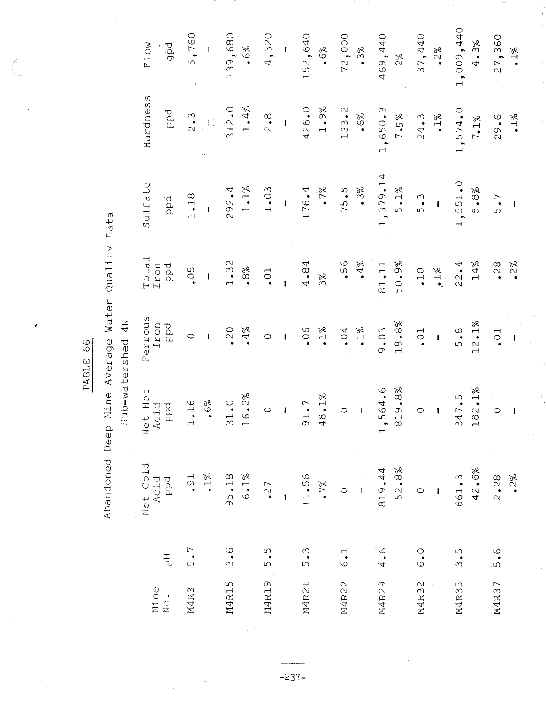TABLE 66

 $\ddot{\mathbf{r}}$ 

 $\hat{\zeta}$ 

Abandoned Deep Mine Average Water Quality Data

Sub-watershed 4R

|                                                                                              | Net Hot<br>Acid<br>PPPd<br>$\mathbf{r}$<br>Net Cold<br>Acid<br>$_{\rm ppd}$ | フリニウィリン フミ     | Ferrous<br>í<br>Iron<br>ppd          | Total<br>Iron<br>Ppd             | Sulfate<br>ppd                             | Hardness<br>ppd                             | <b>F1ow</b><br>pdp                                        |
|----------------------------------------------------------------------------------------------|-----------------------------------------------------------------------------|----------------|--------------------------------------|----------------------------------|--------------------------------------------|---------------------------------------------|-----------------------------------------------------------|
| $\bullet$<br>$\rightarrow$<br>$\bullet$ 1%<br>$\overline{\phantom{0}}$ .                     |                                                                             | $.6\%$<br>$16$ | $\mathbf{I}$<br>$\circ$              | 0.5<br>$\mathbf{I}$              | 1.18<br>$\mathbf i$                        | 2.3<br>$\overline{\mathbf{L}}$<br>$\bar{z}$ | 5,760<br>1                                                |
| 1.0<br>$\sim$<br>$\overline{\phantom{0}}$<br>$6 \, {\scriptstyle \bullet } \, 1 \%$<br>95.18 |                                                                             | 6.2%           | $4\%$<br>.20                         | 1.32<br>.8%                      | $1.1\%$<br>292.4                           | 1.4%<br>312.0                               | 139,680<br>$.6\%$                                         |
| $\circ$<br>I                                                                                 |                                                                             |                | $\circ$<br>$\mathbf{I}$              | $\overline{0}$ .<br>$\mathbf{I}$ | 1.03<br>$\mathbf{I}$                       | $\frac{8}{2}$<br>ŧ                          | 320<br>$\mathbf{I}$<br>4,                                 |
| 48.1%<br>91.7<br>11.56                                                                       |                                                                             |                | $\cdot$ 1%<br>06                     | 4.84<br>3%                       | $.7\%$<br>176.4                            | 1.9%<br>426.0                               | 2,640<br>6%<br>$\bullet$<br>ഗ<br>$\overline{\phantom{a}}$ |
| $\circ$<br>$\mathbf{I}$                                                                      |                                                                             |                | $1\%$<br>$\cdot$ 04                  | $4\%$<br>56                      | .3%<br>75.5                                | $\sim$<br>.6%<br>133                        | 72,000<br>.3%                                             |
| 819.8%<br>564.6<br>$\mathbf{1}$<br>52.8%<br>819.44                                           |                                                                             |                | 18.8%<br>9.03                        | 50.9%<br>81.11                   | 379.14<br>$5.1\%$<br>$\frac{1}{1}$         | 1,650.3<br>7.5%                             | 469,440<br>$2\%$                                          |
| $\circ$<br>$\mathbf{I}$                                                                      |                                                                             |                | $\ddot{\circ}$<br>$\pmb{\mathsf{i}}$ | $\bullet$ 1%<br>$\cdot$ 10       | 5.3<br>$\mathbf{I}$                        | $1\%$<br>24.3                               | 37,440<br>$2\%$<br>$\bullet$                              |
| 182.<br>47<br>$\sim$<br>42.6%<br>661.3                                                       |                                                                             | $1\%$<br>ഗ     | .2.1%<br>$5 \cdot 8$<br>ᆏ            | 14%<br>22.4                      | $\circ$ .<br>5.8%<br>551.<br>$\frac{1}{1}$ | 1, 574.0<br>$7.1\%$                         | ,009,440<br>.3%<br>4<br>$\overline{\phantom{0}}$          |
| $\circ$<br>$2\%$<br>2.28                                                                     |                                                                             |                | $\cdot$ <sup>0</sup><br>$\mathbf I$  | 28<br>2%                         | 5.7<br>I                                   | $.1\%$<br>29.6                              | 27,360<br>$1\%$<br>$\bullet$                              |

 $\frac{1}{2}$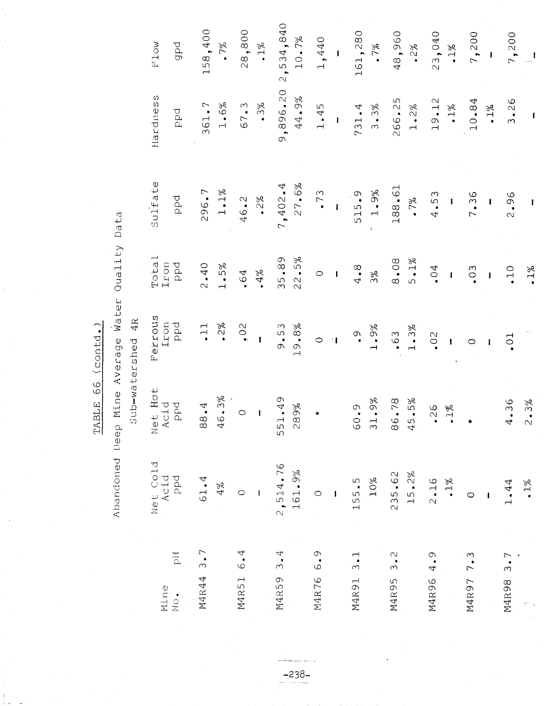$\frac{1}{2} \frac{1}{2} \frac{1}{2}$ 

Abandoned Deep Mine Average Water Quality Data

 $-238-$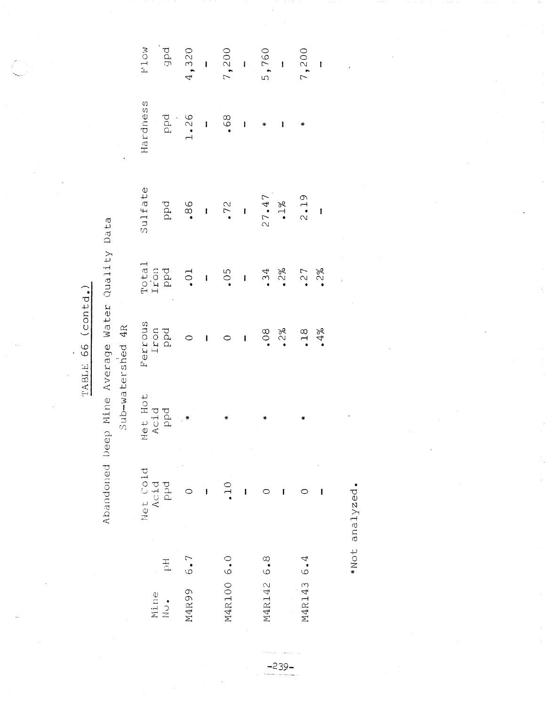Abandoned Deep Mine Average Water Quality Data

Sub-watershed 4R

| gpd<br>4, 320<br>7, 200<br>5, 760<br>7, 200<br>7, 200<br>F1ow                                                                                            |                          |   |              |   |                                                           |   |            |   |
|----------------------------------------------------------------------------------------------------------------------------------------------------------|--------------------------|---|--------------|---|-----------------------------------------------------------|---|------------|---|
| Hardness<br>1.26                                                                                                                                         |                          |   |              |   | $\begin{array}{c} \infty \\ \circ \\ \bullet \end{array}$ |   | ₩          |   |
| Sulfate                                                                                                                                                  |                          |   |              |   |                                                           |   |            |   |
| $T = 0.5$<br>$T = 0.5$<br>$T = 0.5$<br>$T = 0.5$<br>$T = 0.5$<br>$T = 0.5$<br>$T = 0.5$<br>$T = 0.5$<br>$T = 0.5$<br>$T = 0.5$<br>$T = 0.5$<br>$T = 0.5$ |                          |   |              |   |                                                           |   |            |   |
| Ferrous<br>Iron<br>Ppd                                                                                                                                   | $\overline{\phantom{0}}$ |   | $1010008008$ |   |                                                           |   |            |   |
| Net Hot<br>Acid<br>PP <sup>d</sup><br>*                                                                                                                  |                          |   | ₩            |   | ∗                                                         |   | ₩          |   |
| Net Cold<br>Acid<br>ppd                                                                                                                                  |                          | ł | $\supseteq$  | 1 |                                                           | I |            | I |
| $\frac{1}{\alpha}$                                                                                                                                       | 6.7                      |   |              |   |                                                           |   |            |   |
| Mine<br>$\frac{1}{2}$                                                                                                                                    | M4R99                    |   | M4R100 6.0   |   | M4R142 6.8                                                |   | M4R143 6.4 |   |

\*Not analyzed.

 $-239-$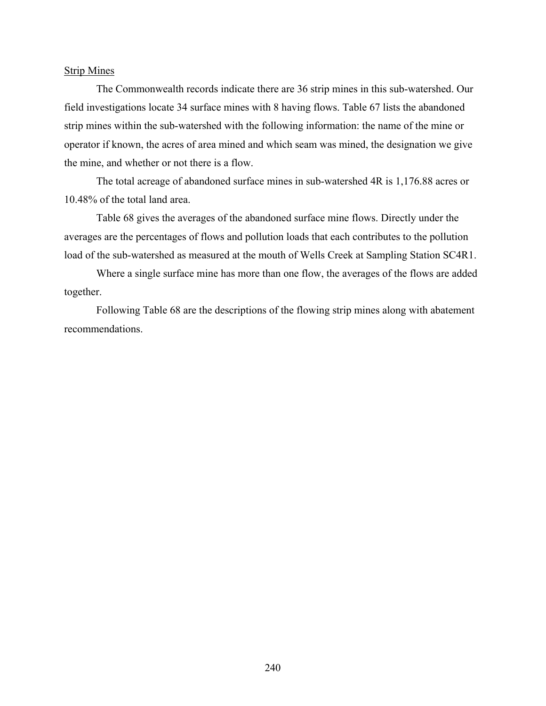#### Strip Mines

The Commonwealth records indicate there are 36 strip mines in this sub-watershed. Our field investigations locate 34 surface mines with 8 having flows. Table 67 lists the abandoned strip mines within the sub-watershed with the following information: the name of the mine or operator if known, the acres of area mined and which seam was mined, the designation we give the mine, and whether or not there is a flow.

The total acreage of abandoned surface mines in sub-watershed 4R is 1,176.88 acres or 10.48% of the total land area.

Table 68 gives the averages of the abandoned surface mine flows. Directly under the averages are the percentages of flows and pollution loads that each contributes to the pollution load of the sub-watershed as measured at the mouth of Wells Creek at Sampling Station SC4R1.

Where a single surface mine has more than one flow, the averages of the flows are added together.

Following Table 68 are the descriptions of the flowing strip mines along with abatement recommendations.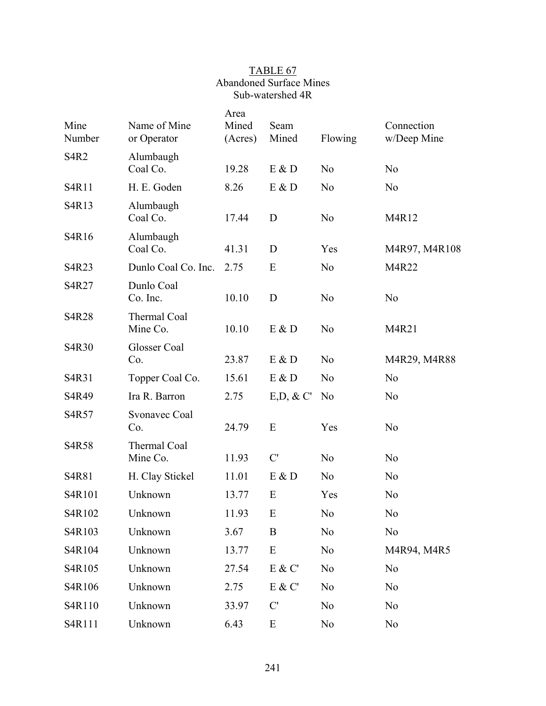## TABLE 67 Abandoned Surface Mines Sub-watershed 4R

| Mine<br>Number                | Name of Mine<br>or Operator | Area<br>Mined<br>(Acres) | Seam<br>Mined | Flowing        | Connection<br>w/Deep Mine |
|-------------------------------|-----------------------------|--------------------------|---------------|----------------|---------------------------|
| S <sub>4</sub> R <sub>2</sub> | Alumbaugh<br>Coal Co.       | 19.28                    | E & D         | N <sub>o</sub> | N <sub>o</sub>            |
| S4R11                         | H. E. Goden                 | 8.26                     | E & D         | N <sub>o</sub> | N <sub>o</sub>            |
| S4R13                         | Alumbaugh<br>Coal Co.       | 17.44                    | D             | N <sub>o</sub> | M4R12                     |
| S4R16                         | Alumbaugh<br>Coal Co.       | 41.31                    | D             | Yes            | M4R97, M4R108             |
| S4R23                         | Dunlo Coal Co. Inc.         | 2.75                     | E             | N <sub>o</sub> | M4R22                     |
| S4R27                         | Dunlo Coal<br>Co. Inc.      | 10.10                    | D             | N <sub>o</sub> | N <sub>o</sub>            |
| <b>S4R28</b>                  | Thermal Coal<br>Mine Co.    | 10.10                    | E & D         | N <sub>o</sub> | M4R21                     |
| S4R30                         | Glosser Coal<br>Co.         | 23.87                    | E & D         | N <sub>o</sub> | M4R29, M4R88              |
| S4R31                         | Topper Coal Co.             | 15.61                    | E & D         | N <sub>o</sub> | N <sub>o</sub>            |
| S4R49                         | Ira R. Barron               | 2.75                     | $E,D, \& C'$  | N <sub>0</sub> | N <sub>o</sub>            |
| S4R57                         | Svonavec Coal<br>Co.        | 24.79                    | E             | Yes            | N <sub>o</sub>            |
| S4R58                         | Thermal Coal<br>Mine Co.    | 11.93                    | C'            | N <sub>o</sub> | N <sub>o</sub>            |
| S4R81                         | H. Clay Stickel             | 11.01                    | E & D         | N <sub>o</sub> | N <sub>o</sub>            |
| S4R101                        | Unknown                     | 13.77                    | E             | Yes            | N <sub>o</sub>            |
| S4R102                        | Unknown                     | 11.93                    | $\mathbf E$   | N <sub>0</sub> | No                        |
| S4R103                        | Unknown                     | 3.67                     | B             | N <sub>0</sub> | N <sub>o</sub>            |
| S4R104                        | Unknown                     | 13.77                    | E             | N <sub>0</sub> | M4R94, M4R5               |
| S4R105                        | Unknown                     | 27.54                    | $E$ & $C'$    | N <sub>0</sub> | N <sub>0</sub>            |
| S4R106                        | Unknown                     | 2.75                     | E & C'        | N <sub>0</sub> | N <sub>0</sub>            |
| S4R110                        | Unknown                     | 33.97                    | C'            | N <sub>0</sub> | N <sub>0</sub>            |
| S4R111                        | Unknown                     | 6.43                     | ${\bf E}$     | N <sub>0</sub> | N <sub>0</sub>            |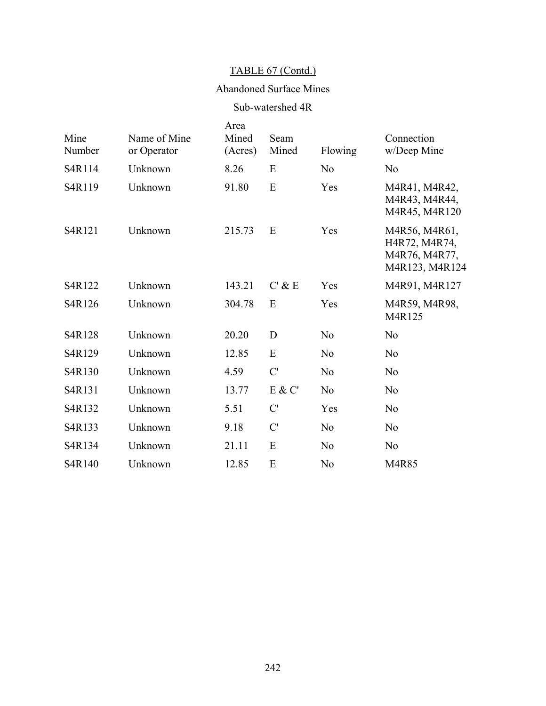# TABLE 67 (Contd.)

## Abandoned Surface Mines

## Sub-watershed 4R

| Mine<br>Number | Name of Mine<br>or Operator | Area<br>Mined<br>(Acres) | Seam<br>Mined | Flowing        | Connection<br>w/Deep Mine                                         |
|----------------|-----------------------------|--------------------------|---------------|----------------|-------------------------------------------------------------------|
| S4R114         | Unknown                     | 8.26                     | E             | N <sub>o</sub> | N <sub>o</sub>                                                    |
| S4R119         | Unknown                     | 91.80                    | E             | Yes            | M4R41, M4R42,<br>M4R43, M4R44,<br>M4R45, M4R120                   |
| S4R121         | Unknown                     | 215.73                   | E             | Yes            | M4R56, M4R61,<br>H4R72, M4R74,<br>M4R76, M4R77,<br>M4R123, M4R124 |
| S4R122         | Unknown                     | 143.21                   | $C'$ & E      | Yes            | M4R91, M4R127                                                     |
| S4R126         | Unknown                     | 304.78                   | E             | Yes            | M4R59, M4R98,<br>M4R125                                           |
| S4R128         | Unknown                     | 20.20                    | D             | N <sub>0</sub> | N <sub>o</sub>                                                    |
| S4R129         | Unknown                     | 12.85                    | E             | N <sub>0</sub> | N <sub>o</sub>                                                    |
| S4R130         | Unknown                     | 4.59                     | C'            | N <sub>0</sub> | N <sub>o</sub>                                                    |
| S4R131         | Unknown                     | 13.77                    | E & C'        | N <sub>0</sub> | N <sub>o</sub>                                                    |
| S4R132         | Unknown                     | 5.51                     | C'            | Yes            | N <sub>o</sub>                                                    |
| S4R133         | Unknown                     | 9.18                     | C'            | N <sub>0</sub> | N <sub>o</sub>                                                    |
| S4R134         | Unknown                     | 21.11                    | E             | N <sub>0</sub> | N <sub>o</sub>                                                    |
| S4R140         | Unknown                     | 12.85                    | E             | N <sub>0</sub> | M4R85                                                             |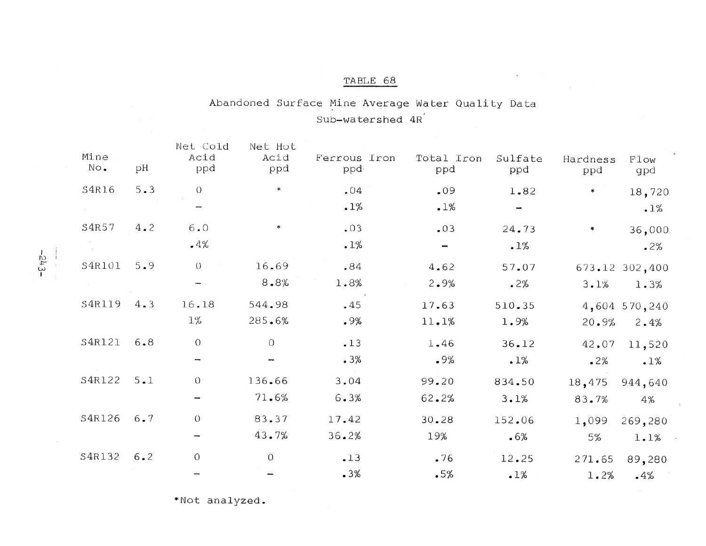# TABLE 68

# Abandoned Surface Mine Average Water Quality Data Sub-watershed 4R

| Mine<br>No. | рH      | Net Cold<br>Acid<br>ppd | Net Hot<br>Acid<br>ppd | Ferrous Iron<br>ppd- | Total Iron<br>ppd | Sulfate<br>ppd | Hardness<br>ppd | Flow<br>gpd    |
|-------------|---------|-------------------------|------------------------|----------------------|-------------------|----------------|-----------------|----------------|
| S4R16       | 5.3     | $\circ$                 | $\ast$                 | .04                  | .09               | 1.82           | $\ast$          | 18,720         |
|             |         | -                       |                        | .1%                  | .1%               |                |                 | .1%            |
| S4R57       | 4.2     | 6.0                     |                        | .03                  | .03               | 24.73          | *               | 36,000         |
|             |         | .4%                     |                        | .1%                  | ł                 | .1%            |                 | 2%             |
| S4R101      | 5.9     | $\cup$                  | 16.69                  | .84                  | 4.62              | 57.07          |                 | 673.12 302,400 |
|             |         | -                       | 8.8%                   | 1.8%                 | 2.9%              | .2%            | 3.1%            | 1.3%           |
| S4R119      | 4.3     | 16.18                   | 544.98                 | .45                  | 17.63             | 510.35         |                 | 4,604 570,240  |
|             |         | $1\%$                   | 285.6%                 | $.9\%$               | 11.1%             | 1.9%           | 20.9%           | 2.4%           |
| S4R121      | 6.8     | $\theta$                | $\circ$                | $-13$                | 1.46              | 36.12          | 42.07           | 11,520         |
|             |         |                         |                        | .3%                  | .9%               | .1%            | .2%             | .1%            |
| S4R122      | 5.1     | $\theta$                | 136.66                 | 3.04                 | 99.20             | 834.50         | 18,475          | 944,640        |
|             |         |                         | 71.6%                  | 6.3%                 | 62.2%             | 3.1%           | 83.7%           | 4%             |
| S4R126      | 6.7     | $\theta$                | 83.37                  | 17.42                | 30.28             | 152.06         | 1,099           | 269,280        |
|             |         | -                       | 43.7%                  | 36.2%                | 19%               | .6%            | 5%              | 1.1%           |
| S4R132      | $6 - 2$ | $\Omega$                | $\theta$               | $-13$                | .76               | 12.25          | 271.65          | 89,280         |
|             |         |                         |                        | .3%                  | .5%               | .1%            | 1.2%            | .4%            |

\*Not analyzed.

 $-543-$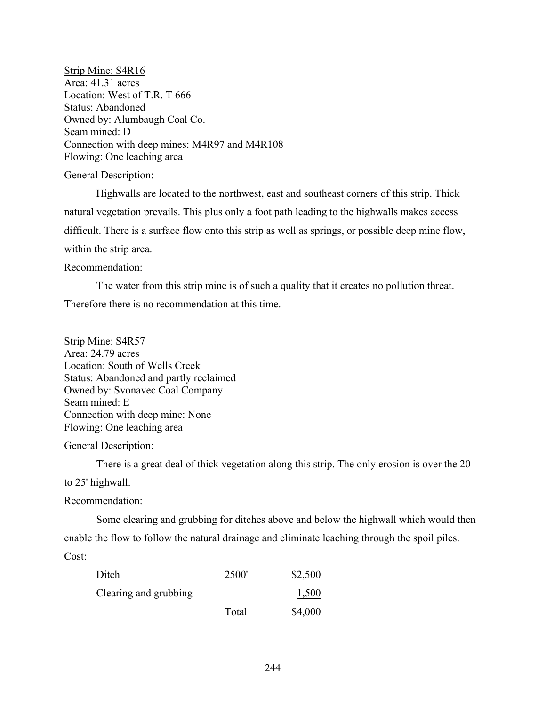Strip Mine: S4R16 Area: 41.31 acres Location: West of T.R. T 666 Status: Abandoned Owned by: Alumbaugh Coal Co. Seam mined: D Connection with deep mines: M4R97 and M4R108 Flowing: One leaching area

General Description:

Highwalls are located to the northwest, east and southeast corners of this strip. Thick natural vegetation prevails. This plus only a foot path leading to the highwalls makes access difficult. There is a surface flow onto this strip as well as springs, or possible deep mine flow, within the strip area.

Recommendation:

The water from this strip mine is of such a quality that it creates no pollution threat. Therefore there is no recommendation at this time.

Strip Mine: S4R57 Area: 24.79 acres Location: South of Wells Creek Status: Abandoned and partly reclaimed Owned by: Svonavec Coal Company Seam mined: E Connection with deep mine: None Flowing: One leaching area

General Description:

There is a great deal of thick vegetation along this strip. The only erosion is over the 20

to 25' highwall.

Recommendation:

Some clearing and grubbing for ditches above and below the highwall which would then enable the flow to follow the natural drainage and eliminate leaching through the spoil piles. Cost:

| Ditch                 | <b>2500</b> | \$2,500 |
|-----------------------|-------------|---------|
| Clearing and grubbing |             | 1,500   |
|                       | Total       | \$4,000 |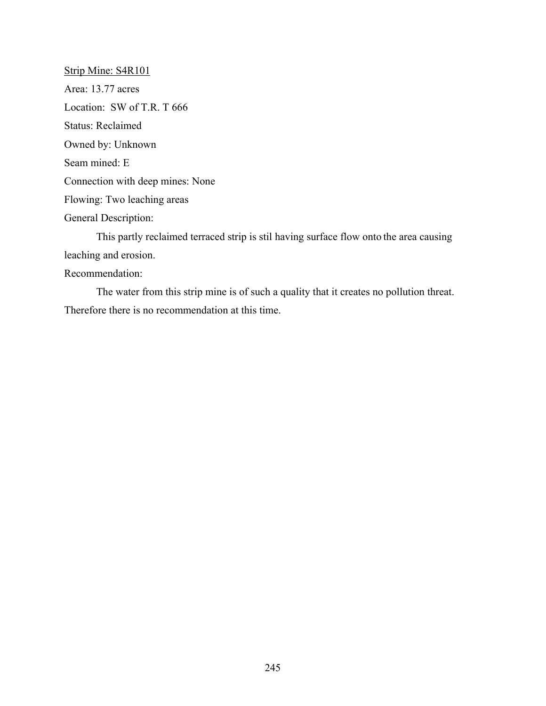Strip Mine: S4R101 Area: 13.77 acres Location: SW of T.R. T 666 Status: Reclaimed Owned by: Unknown Seam mined: E Connection with deep mines: None Flowing: Two leaching areas General Description: This partly reclaimed terraced strip is stil having surface flow onto the area causing leaching and erosion. Recommendation:

The water from this strip mine is of such a quality that it creates no pollution threat. Therefore there is no recommendation at this time.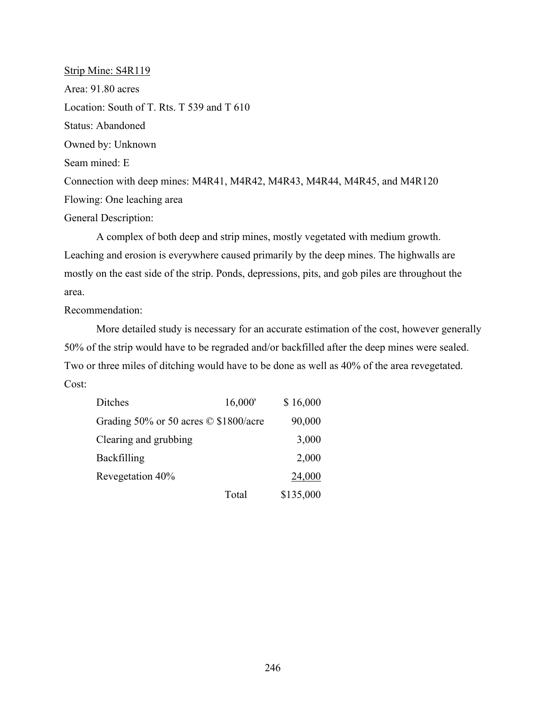Strip Mine: S4R119 Area: 91.80 acres Location: South of T. Rts. T 539 and T 610 Status: Abandoned Owned by: Unknown Seam mined: E Connection with deep mines: M4R41, M4R42, M4R43, M4R44, M4R45, and M4R120 Flowing: One leaching area General Description:

A complex of both deep and strip mines, mostly vegetated with medium growth. Leaching and erosion is everywhere caused primarily by the deep mines. The highwalls are mostly on the east side of the strip. Ponds, depressions, pits, and gob piles are throughout the area.

Recommendation:

More detailed study is necessary for an accurate estimation of the cost, however generally 50% of the strip would have to be regraded and/or backfilled after the deep mines were sealed. Two or three miles of ditching would have to be done as well as 40% of the area revegetated. Cost:

| Ditches                                     | 16,000' | \$16,000  |
|---------------------------------------------|---------|-----------|
| Grading 50% or 50 acres $\odot$ \$1800/acre |         | 90,000    |
| Clearing and grubbing                       |         | 3,000     |
| <b>Backfilling</b>                          |         | 2,000     |
| Revegetation 40%                            |         | 24,000    |
|                                             | Total   | \$135,000 |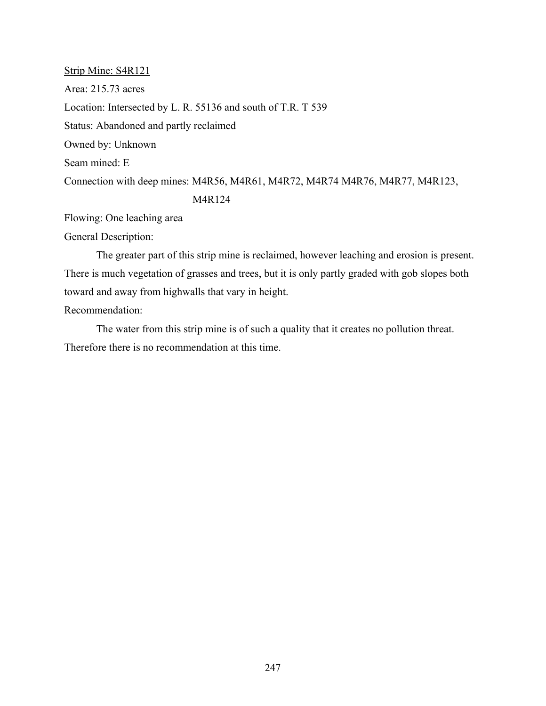Strip Mine: S4R121 Area: 215.73 acres Location: Intersected by L. R. 55136 and south of T.R. T 539 Status: Abandoned and partly reclaimed Owned by: Unknown Seam mined: E Connection with deep mines: M4R56, M4R61, M4R72, M4R74 M4R76, M4R77, M4R123, M4R124

Flowing: One leaching area

General Description:

The greater part of this strip mine is reclaimed, however leaching and erosion is present. There is much vegetation of grasses and trees, but it is only partly graded with gob slopes both toward and away from highwalls that vary in height.

Recommendation:

The water from this strip mine is of such a quality that it creates no pollution threat. Therefore there is no recommendation at this time.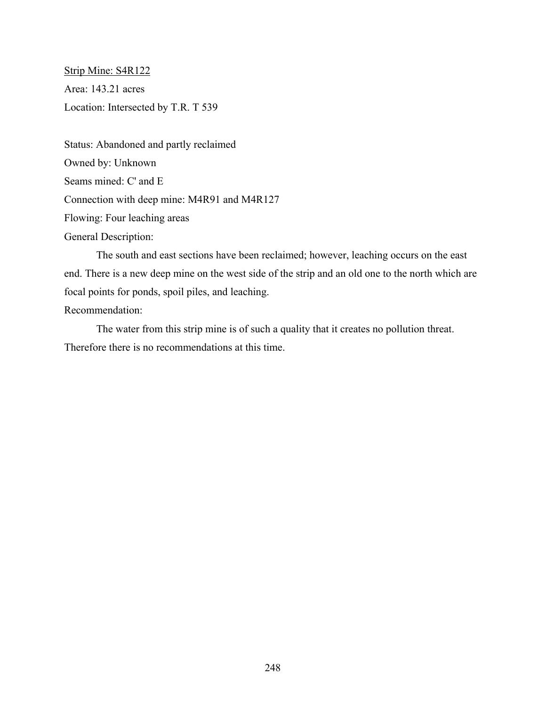Strip Mine: S4R122 Area: 143.21 acres Location: Intersected by T.R. T 539

Status: Abandoned and partly reclaimed Owned by: Unknown Seams mined: C' and E Connection with deep mine: M4R91 and M4R127 Flowing: Four leaching areas General Description:

The south and east sections have been reclaimed; however, leaching occurs on the east end. There is a new deep mine on the west side of the strip and an old one to the north which are focal points for ponds, spoil piles, and leaching.

Recommendation:

The water from this strip mine is of such a quality that it creates no pollution threat. Therefore there is no recommendations at this time.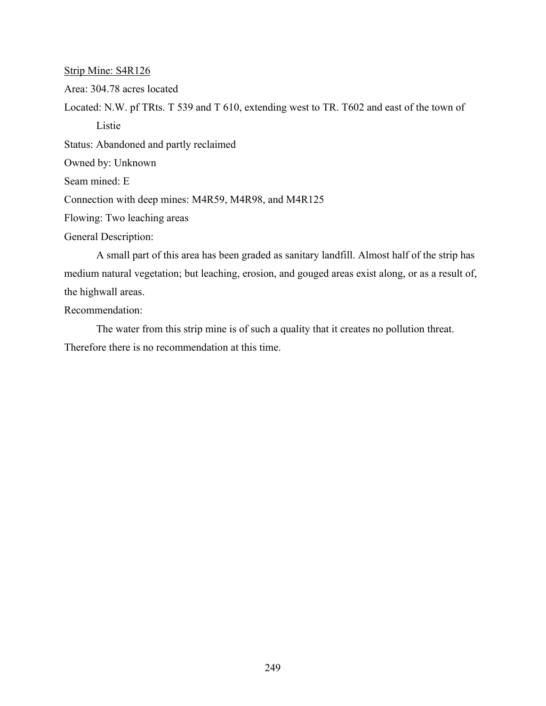Strip Mine: S4R126

Area: 304.78 acres located

Located: N.W. pf TRts. T 539 and T 610, extending west to TR. T602 and east of the town of Listie

Status: Abandoned and partly reclaimed

Owned by: Unknown

Seam mined: E

Connection with deep mines: M4R59, M4R98, and M4R125

Flowing: Two leaching areas

General Description:

A small part of this area has been graded as sanitary landfill. Almost half of the strip has medium natural vegetation; but leaching, erosion, and gouged areas exist along, or as a result of, the highwall areas.

Recommendation:

The water from this strip mine is of such a quality that it creates no pollution threat. Therefore there is no recommendation at this time.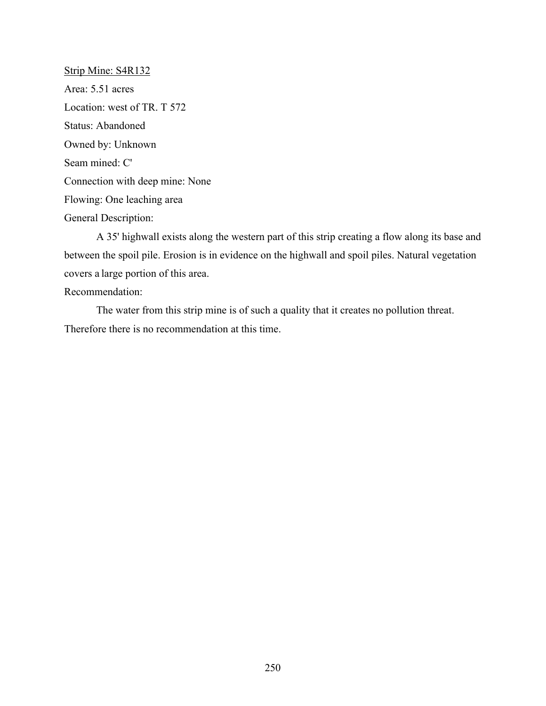Strip Mine: S4R132 Area: 5.51 acres Location: west of TR. T 572 Status: Abandoned Owned by: Unknown Seam mined: C' Connection with deep mine: None Flowing: One leaching area General Description:

A 35' highwall exists along the western part of this strip creating a flow along its base and between the spoil pile. Erosion is in evidence on the highwall and spoil piles. Natural vegetation covers a large portion of this area.

Recommendation:

The water from this strip mine is of such a quality that it creates no pollution threat. Therefore there is no recommendation at this time.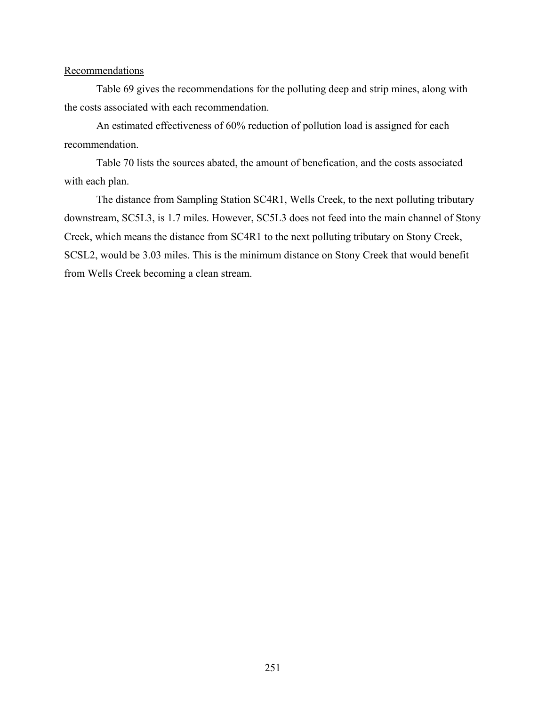### **Recommendations**

Table 69 gives the recommendations for the polluting deep and strip mines, along with the costs associated with each recommendation.

An estimated effectiveness of 60% reduction of pollution load is assigned for each recommendation.

Table 70 lists the sources abated, the amount of benefication, and the costs associated with each plan.

The distance from Sampling Station SC4R1, Wells Creek, to the next polluting tributary downstream, SC5L3, is 1.7 miles. However, SC5L3 does not feed into the main channel of Stony Creek, which means the distance from SC4R1 to the next polluting tributary on Stony Creek, SCSL2, would be 3.03 miles. This is the minimum distance on Stony Creek that would benefit from Wells Creek becoming a clean stream.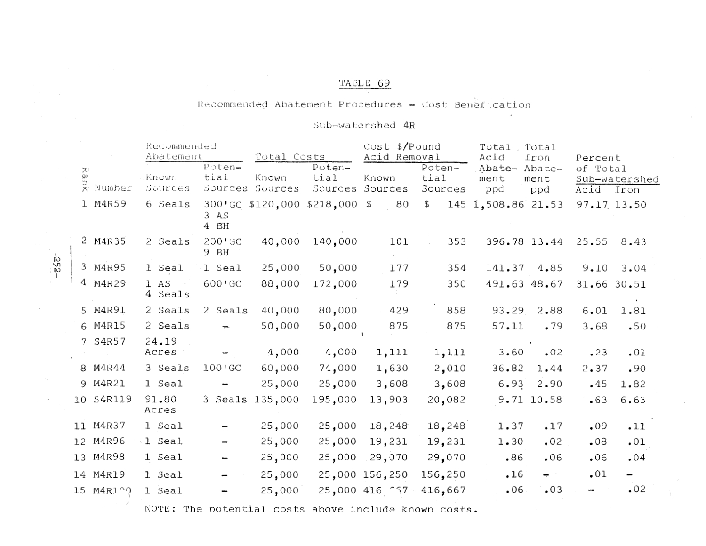### TABLE 69

### Recommended Abatement Procedures - Cost Benefication

### Sub-watershed 4R

|  |                    | Recommended<br>Abatement |                             | Total Costs      |                                                      | $Cost$ \$/Pound<br>Acid Removal |                           | Total<br>Acid         | Total<br>Iron               | Percent               |                          |
|--|--------------------|--------------------------|-----------------------------|------------------|------------------------------------------------------|---------------------------------|---------------------------|-----------------------|-----------------------------|-----------------------|--------------------------|
|  | a<br>B<br>X Number | Known<br>Sources         | $Poten-$<br>tial<br>Sources | Known<br>Sources | Poten-<br>tial<br>Sources                            | Known<br>Sources                | Poten-<br>tial<br>Sources | Abate-<br>ment<br>ppd | Abate-<br>ment<br>ppd       | of Total<br>Acid Iron | Sub-watershed            |
|  | 1 M4R59            | 6 Seals                  | 3 <sub>AS</sub><br>4 BH     |                  | 300'GC \$120,000 \$218,000 \$                        | 80                              | \$                        | 145 1,508.86 21.53    |                             | 97.17 13.50           |                          |
|  | 2 M4R35            | 2 Seals                  | $200 \cdot$ GC<br>9 BH      | 40,000           | 140,000                                              | 101                             | 353                       | 396.78 13.44          |                             | 25.55                 | 8.43                     |
|  | 3 M4R95            | 1 Seal                   | 1 Seal                      | 25,000           | 50,000                                               | 177                             | 354                       | 141.37 4.85           |                             | 9.10                  | 3.04                     |
|  | 4 M4R29            | 1 AS<br>4 Seals          | 600'GC                      | 88,000           | 172,000                                              | 179                             | 350                       | 491.63 48.67          |                             | 31.66 30.51           |                          |
|  | 5 M4R91            | 2 Seals                  | 2 Seals                     | 40,000           | 80,000                                               | 429                             | 858                       | 93.29                 | 2.88                        | 6.01                  | 1.81                     |
|  | 6 M4R15            | 2 Seals                  |                             | 50,000           | 50,000                                               | 875                             | 875                       | 57.11                 | .79                         | 3.68                  | .50                      |
|  | 7 S4R57            | 24.19<br>Acres           |                             | 4,000            | 4,000                                                | 1,111                           | 1,111                     | 3.60                  | $\ddot{\phantom{1}}$<br>.02 | .23                   | .01                      |
|  | 8 M4R44            | 3 Seals                  | 100'GC                      | 60,000           | 74,000                                               | 1,630                           | 2,010                     | 36.82                 | 1.44                        | 2.37                  | .90                      |
|  | 9 M4R21            | 1 Seal                   |                             | 25,000           | 25,000                                               | 3,608                           | 3,608                     | 6.93                  | 2.90                        | •45                   | 1.82                     |
|  | 10 S4R119          | 91.80<br>Acres           |                             | 3 Seals 135,000  | 195,000                                              | 13,903                          | 20,082                    |                       | 9.71 10.58                  | $-63$                 | 6.63                     |
|  | 11 M4R37           | 1 Seal                   |                             | 25,000           | 25,000                                               | 18,248                          | 18,248                    | 1.37                  | .17                         | .09                   | .11                      |
|  | 12 M4R96           | 1 Seal                   |                             | 25,000           | 25,000                                               | 19,231                          | 19,231                    | 1.30                  | .02                         | .08                   | .01                      |
|  | 13 M4R98           | 1 Seal                   |                             | 25,000           | 25,000                                               | 29,070                          | 29,070                    | .86                   | .06                         | .06                   | .04                      |
|  | 14 M4R19           | 1 Seal                   |                             | 25,000           |                                                      | 25,000 156,250                  | 156,250                   | .16                   | $\rightarrow$               | .01                   | $\overline{\phantom{a}}$ |
|  | 15 M4RJ 00         | 1 Seal                   |                             | 25,000           |                                                      | 25,000 416 757                  | 416,667                   | .06                   | .03                         | 1                     | .02                      |
|  |                    |                          |                             |                  | NOTE: The potential costs above include known costs. |                                 |                           |                       |                             |                       |                          |

 $-52 -$